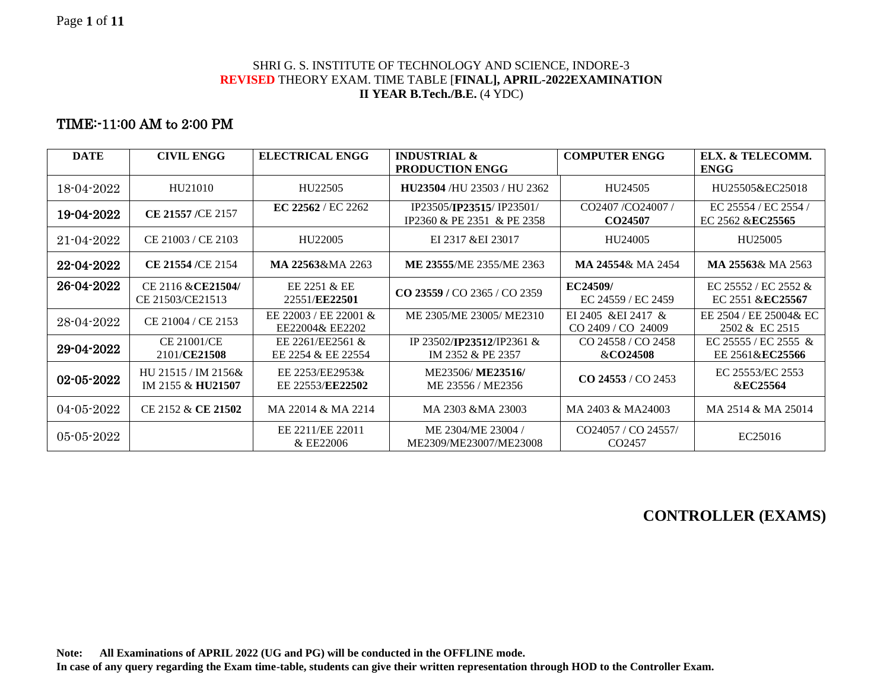#### SHRI G. S. INSTITUTE OF TECHNOLOGY AND SCIENCE, INDORE-3 **REVISED** THEORY EXAM. TIME TABLE [**FINAL], APRIL-2022EXAMINATION II YEAR B.Tech./B.E.** (4 YDC)

### TIME:-11:00 AM to 2:00 PM

| <b>DATE</b>      | <b>CIVIL ENGG</b>                        | <b>ELECTRICAL ENGG</b>                   | <b>INDUSTRIAL &amp;</b><br><b>PRODUCTION ENGG</b>      | <b>COMPUTER ENGG</b>                      | ELX. & TELECOMM.<br><b>ENGG</b>                 |
|------------------|------------------------------------------|------------------------------------------|--------------------------------------------------------|-------------------------------------------|-------------------------------------------------|
| 18-04-2022       | HU21010                                  | HU22505                                  | HU23504/HU 23503/HU 2362                               | HU24505                                   | HU25505&EC25018                                 |
| 19-04-2022       | CE 21557 /CE 2157                        | <b>EC 22562</b> / EC 2262                | IP23505/IP23515/IP23501/<br>IP2360 & PE 2351 & PE 2358 | CO2407/CO24007/<br>CO24507                | EC 25554 / EC 2554 /<br>EC 2562 &EC25565        |
| $21 - 04 - 2022$ | CE 21003 / CE 2103                       | HU22005                                  | EI 2317 & EI 23017                                     | HU24005                                   | HU25005                                         |
| 22-04-2022       | CE 21554 /CE 2154                        | MA 22563&MA 2263                         | ME 23555/ME 2355/ME 2363                               | MA 24554& MA 2454                         | MA 25563& MA 2563                               |
| 26-04-2022       | CE 2116 & CE21504/<br>CE 21503/CE21513   | EE 2251 & EE<br>22551/EE22501            | CO 23559 / CO 2365 / CO 2359                           | EC24509/<br>EC 24559 / EC 2459            | EC 25552 / EC 2552 &<br>EC 2551 &EC25567        |
| 28-04-2022       | CE 21004 / CE 2153                       | EE 22003 / EE 22001 &<br>EE22004& EE2202 | ME 2305/ME 23005/ME2310                                | EI 2405 & EI 2417 &<br>CO 2409 / CO 24009 | EE 2504 / EE 25004& EC<br>2502 & EC 2515        |
| 29-04-2022       | CE 21001/CE<br>2101/CE21508              | EE 2261/EE2561 &<br>EE 2254 & EE 22554   | IP 23502/IP23512/IP2361 &<br>IM 2352 & PE 2357         | CO 24558 / CO 2458<br>&CO24508            | EC 25555 / EC 2555 &<br>EE 2561& <b>EC25566</b> |
| 02-05-2022       | HU 21515 / IM 2156&<br>IM 2155 & HU21507 | EE 2253/EE2953&<br>EE 22553/EE22502      | ME23506/ME23516/<br>ME 23556 / ME2356                  | $CO$ 24553 / $CO$ 2453                    | EC 25553/EC 2553<br>&EC25564                    |
| 04-05-2022       | CE 2152 & CE 21502                       | MA 22014 & MA 2214                       | MA 2303 &MA 23003                                      | MA 2403 & MA24003                         | MA 2514 & MA 25014                              |
| $05 - 05 - 2022$ |                                          | EE 2211/EE 22011<br>& EE22006            | ME 2304/ME 23004/<br>ME2309/ME23007/ME23008            | CO24057 / CO 24557/<br>CO <sub>2457</sub> | EC25016                                         |

# **CONTROLLER (EXAMS)**

**Note: All Examinations of APRIL 2022 (UG and PG) will be conducted in the OFFLINE mode.**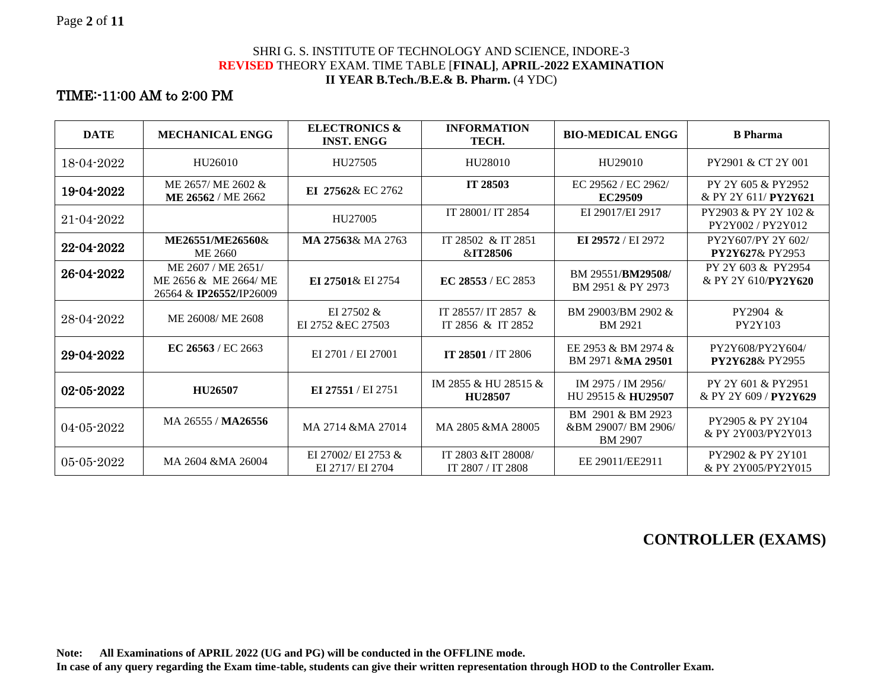#### SHRI G. S. INSTITUTE OF TECHNOLOGY AND SCIENCE, INDORE-3 **REVISED** THEORY EXAM. TIME TABLE [**FINAL]**, **APRIL-2022 EXAMINATION II YEAR B.Tech./B.E.& B. Pharm.** (4 YDC)

# TIME:-11:00 AM to 2:00 PM

| <b>DATE</b>      | <b>MECHANICAL ENGG</b>                                                         | <b>ELECTRONICS &amp;</b><br><b>INST. ENGG</b> | <b>INFORMATION</b><br>TECH.              | <b>BIO-MEDICAL ENGG</b>                                   | <b>B</b> Pharma                                     |
|------------------|--------------------------------------------------------------------------------|-----------------------------------------------|------------------------------------------|-----------------------------------------------------------|-----------------------------------------------------|
| 18-04-2022       | HU <sub>26010</sub>                                                            | HU27505                                       | HU28010                                  | HU <sub>29010</sub>                                       | PY2901 & CT 2Y 001                                  |
| 19-04-2022       | ME 2657/ME 2602 &<br>ME 26562 / ME 2662                                        | EI 27562& EC 2762                             | IT 28503                                 | EC 29562 / EC 2962/<br><b>EC29509</b>                     | PY 2Y 605 & PY 2952<br>& PY 2Y 611/ <b>PY2Y621</b>  |
| $21 - 04 - 2022$ |                                                                                | HU27005                                       | IT 28001/ IT 2854                        | EI 29017/EI 2917                                          | PY2903 & PY 2Y 102 &<br>PY2Y002/PY2Y012             |
| 22-04-2022       | ME26551/ME26560&<br>ME 2660                                                    | MA 27563& MA 2763                             | IT 28502 & IT 2851<br>&IT28506           | EI 29572 / EI 2972                                        | PY2Y607/PY 2Y 602/<br><b>PY2Y627&amp; PY2953</b>    |
| 26-04-2022       | ME 2607 / ME 2651/<br>ME 2656 & ME 2664/ ME<br>26564 & <b>IP26552</b> /IP26009 | EI 27501& EI 2754                             | EC 28553 / EC 2853                       | BM 29551/BM29508/<br>BM 2951 & PY 2973                    | PY 2Y 603 & PY 2954<br>& PY 2Y 610/ <b>PY2Y620</b>  |
| 28-04-2022       | ME 26008/ME 2608                                                               | EI 27502 &<br>EI 2752 & EC 27503              | IT 28557/ IT 2857 &<br>IT 2856 & IT 2852 | BM 29003/BM 2902 &<br><b>BM 2921</b>                      | PY2904 &<br>PY2Y103                                 |
| 29-04-2022       | EC 26563 / EC 2663                                                             | EI 2701 / EI 27001                            | IT 28501 / IT 2806                       | EE 2953 & BM 2974 &<br>BM 2971 &MA 29501                  | PY2Y608/PY2Y604/<br><b>PY2Y628</b> & PY2955         |
| 02-05-2022       | HU26507                                                                        | EI 27551 / EI 2751                            | IM 2855 & HU 28515 &<br><b>HU28507</b>   | IM 2975 / IM 2956/<br>HU 29515 & HU <sub>29507</sub>      | PY 2Y 601 & PY 2951<br>& PY 2Y 609 / <b>PY2Y629</b> |
| $04 - 05 - 2022$ | MA 26555 / MA26556                                                             | MA 2714 &MA 27014                             | MA 2805 & MA 28005                       | BM 2901 & BM 2923<br>&BM 29007/BM 2906/<br><b>BM 2907</b> | PY2905 & PY 2Y104<br>& PY 2Y003/PY2Y013             |
| $05 - 05 - 2022$ | MA 2604 & MA 26004                                                             | EI 27002/ EI 2753 &<br>EI 2717/ EI 2704       | IT 2803 & IT 28008/<br>IT 2807 / IT 2808 | EE 29011/EE2911                                           | PY2902 & PY 2Y101<br>& PY 2Y005/PY2Y015             |

**CONTROLLER (EXAMS)**

**Note: All Examinations of APRIL 2022 (UG and PG) will be conducted in the OFFLINE mode.**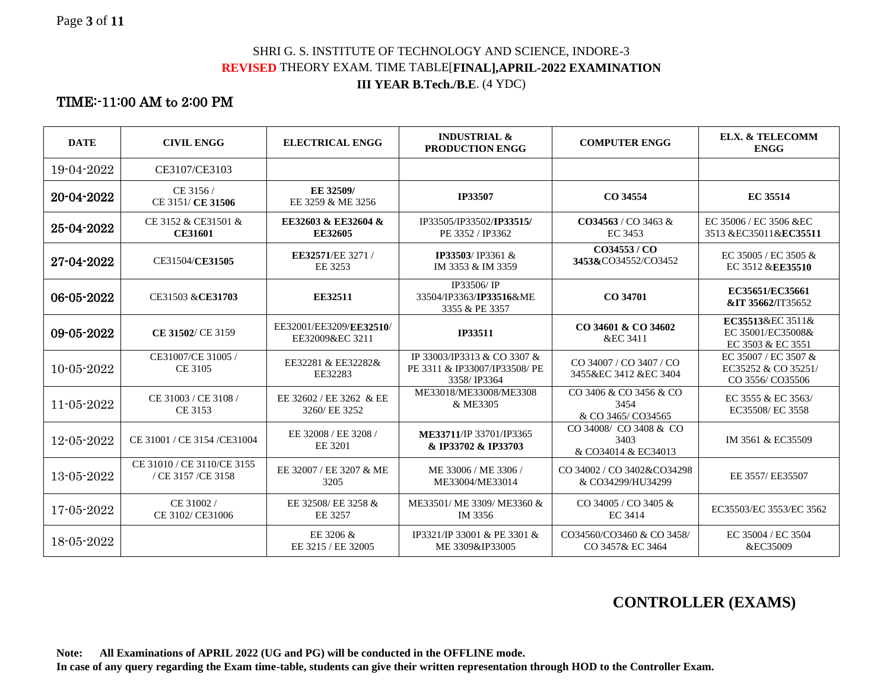#### SHRI G. S. INSTITUTE OF TECHNOLOGY AND SCIENCE, INDORE-3 **REVISED** THEORY EXAM. TIME TABLE[**FINAL],APRIL-2022 EXAMINATION III YEAR B.Tech./B.E**. (4 YDC)

### TIME:-11:00 AM to 2:00 PM

| <b>DATE</b>      | <b>CIVIL ENGG</b>                               | <b>ELECTRICAL ENGG</b>                     | <b>INDUSTRIAL &amp;</b><br><b>PRODUCTION ENGG</b>                           | <b>COMPUTER ENGG</b>                                  | <b>ELX. &amp; TELECOMM</b><br><b>ENGG</b>                       |
|------------------|-------------------------------------------------|--------------------------------------------|-----------------------------------------------------------------------------|-------------------------------------------------------|-----------------------------------------------------------------|
| 19-04-2022       | CE3107/CE3103                                   |                                            |                                                                             |                                                       |                                                                 |
| 20-04-2022       | CE 3156/<br>CE 3151/ CE 31506                   | EE 32509/<br>EE 3259 & ME 3256             | <b>IP33507</b>                                                              | CO 34554                                              | <b>EC 35514</b>                                                 |
| 25-04-2022       | CE 3152 & CE31501 &<br><b>CE31601</b>           | EE32603 & EE32604 &<br><b>EE32605</b>      | IP33505/IP33502/IP33515/<br>PE 3352 / IP3362                                | $CO34563 / CO3463 \&$<br>EC 3453                      | EC 35006 / EC 3506 & EC<br>3513 &EC35011&EC35511                |
| 27-04-2022       | CE31504/CE31505                                 | EE32571/EE 3271/<br>EE 3253                | IP33503/IP3361 &<br>IM 3353 & IM 3359                                       | CO34553/CO<br>3453&CO34552/CO3452                     | EC 35005 / EC 3505 $&$<br>EC 3512 & EE35510                     |
| 06-05-2022       | CE31503 & CE31703                               | EE32511                                    | IP33506/IP<br>33504/IP3363/IP33516&ME<br>3355 & PE 3357                     | CO 34701                                              | EC35651/EC35661<br>&IT 35662/IT35652                            |
| 09-05-2022       | CE 31502/ CE 3159                               | EE32001/EE3209/EE32510/<br>EE32009&EC 3211 | <b>IP33511</b>                                                              | CO 34601 & CO 34602<br>&EC 3411                       | EC35513&EC 3511&<br>EC 35001/EC35008&<br>EC 3503 & EC 3551      |
| $10 - 05 - 2022$ | CE31007/CE 31005 /<br>CE 3105                   | EE32281 & EE32282&<br>EE32283              | IP 33003/IP3313 & CO 3307 &<br>PE 3311 & IP33007/IP33508/ PE<br>3358/IP3364 | CO 34007 / CO 3407 / CO<br>3455&EC 3412 &EC 3404      | EC 35007 / EC 3507 &<br>EC35252 & CO 35251/<br>CO 3556/ CO35506 |
| $11 - 05 - 2022$ | CE 31003 / CE 3108 /<br>CE 3153                 | EE 32602 / EE 3262 & EE<br>3260/ EE 3252   | ME33018/ME33008/ME3308<br>& ME3305                                          | CO 3406 & CO 3456 & CO<br>3454<br>& CO 3465/ CO34565  | EC 3555 & EC 3563/<br>EC35508/ EC 3558                          |
| 12-05-2022       | CE 31001 / CE 3154 / CE 31004                   | EE 32008 / EE 3208 /<br>EE 3201            | ME33711/IP 33701/IP3365<br>& IP33702 & IP33703                              | CO 34008/ CO 3408 & CO<br>3403<br>& CO34014 & EC34013 | IM 3561 & EC35509                                               |
| $13 - 05 - 2022$ | CE 31010 / CE 3110/CE 3155<br>/ CE 3157/CE 3158 | EE 32007 / EE 3207 & ME<br>3205            | ME 33006 / ME 3306 /<br>ME33004/ME33014                                     | CO 34002 / CO 3402&CO34298<br>& CO34299/HU34299       | EE 3557/ EE35507                                                |
| 17-05-2022       | CE 31002/<br>CE 3102/ CE31006                   | EE 32508/ EE 3258 &<br>EE 3257             | ME33501/ ME 3309/ ME3360 &<br>IM 3356                                       | CO 34005 / CO 3405 &<br><b>EC 3414</b>                | EC35503/EC 3553/EC 3562                                         |
| 18-05-2022       |                                                 | EE 3206 &<br>EE 3215 / EE 32005            | IP3321/IP 33001 & PE 3301 &<br>ME 3309&IP33005                              | CO34560/CO3460 & CO 3458/<br>CO 3457& EC 3464         | EC 35004 / EC 3504<br>&EC35009                                  |

# **CONTROLLER (EXAMS)**

**Note: All Examinations of APRIL 2022 (UG and PG) will be conducted in the OFFLINE mode.**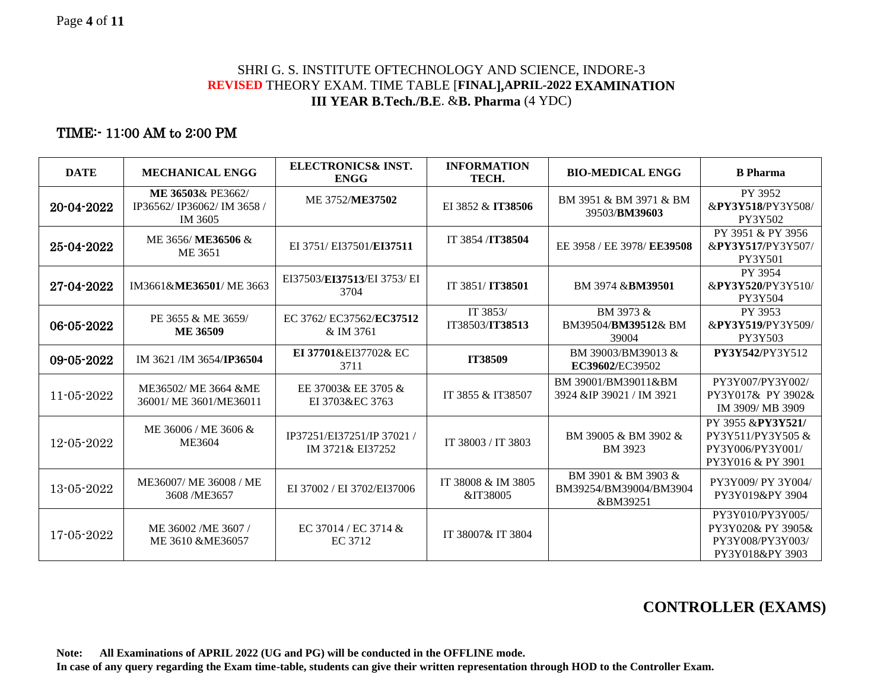#### SHRI G. S. INSTITUTE OFTECHNOLOGY AND SCIENCE, INDORE-3 **REVISED** THEORY EXAM. TIME TABLE [**FINAL],APRIL-2022 EXAMINATION III YEAR B.Tech./B.E**. &**B. Pharma** (4 YDC)

### TIME:- 11:00 AM to 2:00 PM

| <b>DATE</b> | <b>MECHANICAL ENGG</b>                                   | <b>ELECTRONICS&amp; INST.</b><br><b>ENGG</b> | <b>INFORMATION</b><br>TECH.    | <b>BIO-MEDICAL ENGG</b>                                   | <b>B</b> Pharma                                                                 |
|-------------|----------------------------------------------------------|----------------------------------------------|--------------------------------|-----------------------------------------------------------|---------------------------------------------------------------------------------|
| 20-04-2022  | ME 36503& PE3662/<br>IP36562/IP36062/IM 3658/<br>IM 3605 | ME 3752/ME37502                              | EI 3852 & IT38506              | BM 3951 & BM 3971 & BM<br>39503/BM39603                   | PY 3952<br>&PY3Y518/PY3Y508/<br>PY3Y502                                         |
| 25-04-2022  | ME 3656/ME36506 &<br>ME 3651                             | EI 3751/ EI37501/EI37511                     | IT 3854 / IT 38504             | EE 3958 / EE 3978/ EE39508                                | PY 3951 & PY 3956<br>&PY3Y517/PY3Y507/<br><b>PY3Y501</b>                        |
| 27-04-2022  | IM3661&ME36501/ME3663                                    | EI37503/EI37513/EI 3753/ EI<br>3704          | IT 3851/IT38501                | BM 3974 & <b>BM39501</b>                                  | PY 3954<br>&PY3Y520/PY3Y510/<br>PY3Y504                                         |
| 06-05-2022  | PE 3655 & ME 3659/<br><b>ME 36509</b>                    | EC 3762/ EC37562/EC37512<br>& IM 3761        | IT 3853/<br>IT38503/IT38513    | BM 3973 &<br>BM39504/BM39512& BM<br>39004                 | PY 3953<br>&PY3Y519/PY3Y509/<br>PY3Y503                                         |
| 09-05-2022  | IM 3621 /IM 3654/IP36504                                 | EI 37701&EI37702& EC<br>3711                 | IT38509                        | BM 39003/BM39013 &<br>EC39602/EC39502                     | PY3Y542/PY3Y512                                                                 |
| 11-05-2022  | ME36502/ ME 3664 &ME<br>36001/ME 3601/ME36011            | EE 37003& EE 3705 &<br>EI 3703&EC 3763       | IT 3855 & IT38507              | BM 39001/BM39011&BM<br>3924 &IP 39021 / IM 3921           | PY3Y007/PY3Y002/<br>PY3Y017& PY3902&<br>IM 3909/MB 3909                         |
| 12-05-2022  | ME 36006 / ME 3606 &<br>ME3604                           | IP37251/EI37251/IP37021<br>IM 3721& EI37252  | IT 38003 / IT 3803             | BM 39005 & BM 3902 &<br><b>BM</b> 3923                    | PY 3955 &PY3Y521/<br>PY3Y511/PY3Y505 &<br>PY3Y006/PY3Y001/<br>PY3Y016 & PY 3901 |
| 13-05-2022  | ME36007/ ME 36008 / ME<br>3608 /ME3657                   | EI 37002 / EI 3702/EI37006                   | IT 38008 & IM 3805<br>&IT38005 | BM 3901 & BM 3903 &<br>BM39254/BM39004/BM3904<br>&BM39251 | PY3Y009/ PY 3Y004/<br>PY3Y019&PY3904                                            |
| 17-05-2022  | ME 36002/ME 3607/<br>ME 3610 & ME36057                   | EC 37014 / EC 3714 &<br>EC 3712              | IT 38007& IT 3804              |                                                           | PY3Y010/PY3Y005/<br>PY3Y020& PY 3905&<br>PY3Y008/PY3Y003/<br>PY3Y018&PY 3903    |

# **CONTROLLER (EXAMS)**

**Note: All Examinations of APRIL 2022 (UG and PG) will be conducted in the OFFLINE mode.**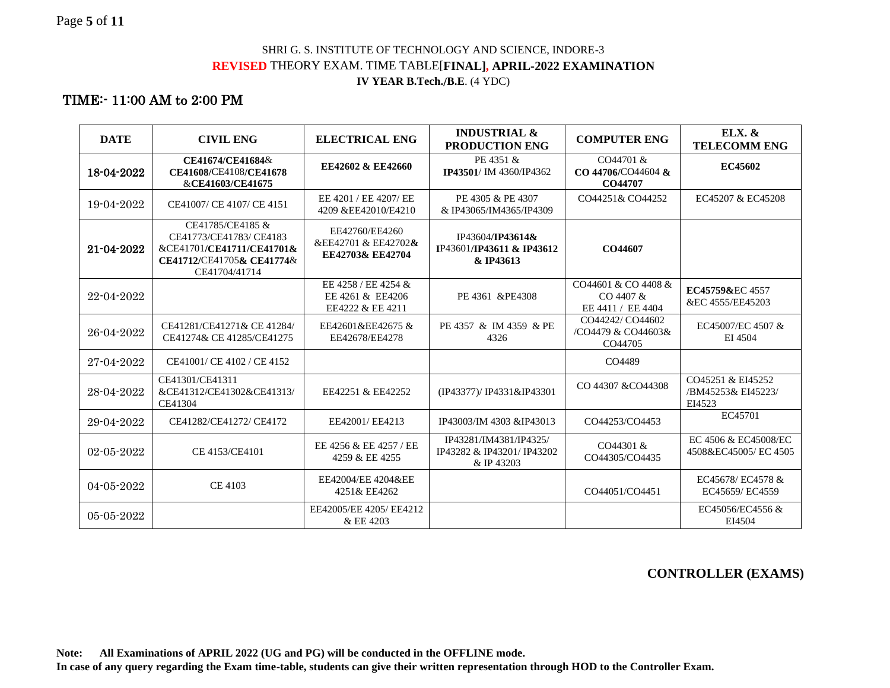#### SHRI G. S. INSTITUTE OF TECHNOLOGY AND SCIENCE, INDORE-3 **REVISED** THEORY EXAM. TIME TABLE[**FINAL], APRIL-2022 EXAMINATION IV YEAR B.Tech./B.E**. (4 YDC)

# TIME:- 11:00 AM to 2:00 PM

| <b>DATE</b>      | <b>CIVIL ENG</b>                                                                                                      | <b>ELECTRICAL ENG</b>                                       | <b>INDUSTRIAL &amp;</b><br>PRODUCTION ENG                          | <b>COMPUTER ENG</b>                                   | <b>ELX. &amp;</b><br><b>TELECOMM ENG</b>          |
|------------------|-----------------------------------------------------------------------------------------------------------------------|-------------------------------------------------------------|--------------------------------------------------------------------|-------------------------------------------------------|---------------------------------------------------|
| 18-04-2022       | CE41674/CE41684&<br>CE41608/CE4108/CE41678<br>&CE41603/CE41675                                                        | EE42602 & EE42660                                           | PE 4351 &<br>IP43501/IM 4360/IP4362                                | CO44701 &<br>CO 44706/CO44604 &<br>CO44707            | EC45602                                           |
| 19-04-2022       | CE41007/ CE 4107/ CE 4151                                                                                             | EE 4201 / EE 4207/ EE<br>4209 &EE42010/E4210                | PE 4305 & PE 4307<br>& IP43065/IM4365/IP4309                       | CO44251& CO44252                                      | EC45207 & EC45208                                 |
| 21-04-2022       | CE41785/CE4185 &<br>CE41773/CE41783/CE4183<br>&CE41701/CE41711/CE41701&<br>CE41712/CE41705& CE41774&<br>CE41704/41714 | EE42760/EE4260<br>&EE42701 & EE42702 &<br>EE42703& EE42704  | IP43604/IP43614&<br>IP43601/IP43611 & IP43612<br>& IP43613         | CO44607                                               |                                                   |
| 22-04-2022       |                                                                                                                       | EE 4258 / EE 4254 &<br>EE 4261 & EE4206<br>EE4222 & EE 4211 | PE 4361 & PE4308                                                   | CO44601 & CO 4408 &<br>CO 4407 &<br>EE 4411 / EE 4404 | EC45759&EC4557<br>&EC 4555/EE45203                |
| 26-04-2022       | CE41281/CE41271& CE 41284/<br>CE41274& CE 41285/CE41275                                                               | EE42601&EE42675 &<br>EE42678/EE4278                         | PE 4357 & IM 4359 & PE<br>4326                                     | CO44242/CO44602<br>/CO4479 & CO44603&<br>CO44705      | EC45007/EC 4507 &<br>EI 4504                      |
| 27-04-2022       | CE41001/CE4102/CE4152                                                                                                 |                                                             |                                                                    | CO4489                                                |                                                   |
| 28-04-2022       | CE41301/CE41311<br>&CE41312/CE41302&CE41313/<br>CE41304                                                               | EE42251 & EE42252                                           | (IP43377)/ IP4331&IP43301                                          | CO 44307 & CO44308                                    | CO45251 & EI45252<br>/BM45253& EI45223/<br>EI4523 |
| 29-04-2022       | CE41282/CE41272/ CE4172                                                                                               | EE42001/EE4213                                              | IP43003/IM 4303 &IP43013                                           | CO44253/CO4453                                        | EC45701                                           |
| $02 - 05 - 2022$ | CE 4153/CE4101                                                                                                        | EE 4256 & EE 4257 / EE<br>4259 & EE 4255                    | IP43281/IM4381/IP4325/<br>IP43282 & IP43201/ IP43202<br>& IP 43203 | CO44301 &<br>CO44305/CO4435                           | EC 4506 & EC45008/EC<br>4508&EC45005/EC4505       |
| 04-05-2022       | CE 4103                                                                                                               | EE42004/EE 4204&EE<br>4251& EE4262                          |                                                                    | CO44051/CO4451                                        | EC45678/EC4578 &<br>EC45659/ EC4559               |
| $05 - 05 - 2022$ |                                                                                                                       | EE42005/EE 4205/ EE4212<br>& EE 4203                        |                                                                    |                                                       | EC45056/EC4556 &<br>EI4504                        |

#### **CONTROLLER (EXAMS)**

**Note: All Examinations of APRIL 2022 (UG and PG) will be conducted in the OFFLINE mode.**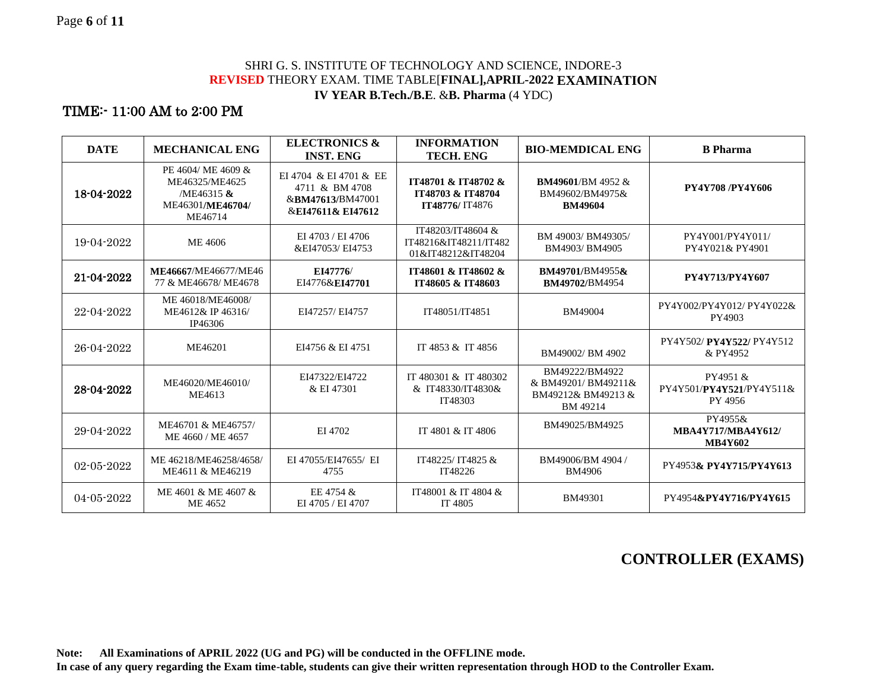#### SHRI G. S. INSTITUTE OF TECHNOLOGY AND SCIENCE, INDORE-3 **REVISED** THEORY EXAM. TIME TABLE[**FINAL],APRIL-2022 EXAMINATION IV YEAR B.Tech./B.E**. &**B. Pharma** (4 YDC)

### TIME:- 11:00 AM to 2:00 PM

| <b>DATE</b>      | <b>MECHANICAL ENG</b>                                                             | <b>ELECTRONICS &amp;</b><br><b>INST. ENG</b>                                      | <b>INFORMATION</b><br><b>TECH. ENG</b>                           | <b>BIO-MEMDICAL ENG</b>                                                | <b>B</b> Pharma                                        |
|------------------|-----------------------------------------------------------------------------------|-----------------------------------------------------------------------------------|------------------------------------------------------------------|------------------------------------------------------------------------|--------------------------------------------------------|
| 18-04-2022       | PE 4604/ ME 4609 &<br>ME46325/ME4625<br>/ME46315 &<br>ME46301/ME46704/<br>ME46714 | EI 4704 & EI 4701 & EE<br>4711 & BM 4708<br>&BM47613/BM47001<br>&EI47611& EI47612 | IT48701 & IT48702 &<br>1Т48703 & 1Т48704<br>IT48776/ IT4876      | <b>BM49601/BM4952 &amp;</b><br>BM49602/BM4975&<br><b>BM49604</b>       | PY4Y708/PY4Y606                                        |
| 19-04-2022       | ME 4606                                                                           | EI 4703 / EI 4706<br>&EI47053/EI4753                                              | IT48203/IT48604 &<br>IT48216&IT48211/IT482<br>01&IT48212&IT48204 | BM 49003/BM49305/<br>BM4903/BM4905                                     | PY4Y001/PY4Y011/<br>PY4Y021& PY4901                    |
| 21-04-2022       | ME46667/ME46677/ME46<br>77 & ME46678/ME4678                                       | EI47776/<br>EI4776&EI47701                                                        | IT48601 & IT48602 &<br>1Т48605 & 1Т48603                         | BM49701/BM4955&<br>BM49702/BM4954                                      | PY4Y713/PY4Y607                                        |
| 22-04-2022       | ME 46018/ME46008/<br>ME4612& IP 46316/<br>IP46306                                 | EI47257/ EI4757                                                                   | IT48051/IT4851                                                   | BM49004                                                                | PY4Y002/PY4Y012/ PY4Y022&<br>PY4903                    |
| 26-04-2022       | ME46201                                                                           | EI4756 & EI 4751                                                                  | IT 4853 & IT 4856                                                | BM49002/BM4902                                                         | PY4Y502/PY4Y522/PY4Y512<br>& PY4952                    |
| 28-04-2022       | ME46020/ME46010/<br>ME4613                                                        | EI47322/EI4722<br>& EI 47301                                                      | IT 480301 & IT 480302<br>& IT48330/IT4830&<br>IT48303            | BM49222/BM4922<br>& BM49201/BM49211&<br>BM49212& BM49213 &<br>BM 49214 | PY4951 &<br>PY4Y501/PY4Y521/PY4Y511&<br>PY 4956        |
| 29-04-2022       | ME46701 & ME46757/<br>ME 4660 / ME 4657                                           | EI 4702                                                                           | IT 4801 & IT 4806                                                | BM49025/BM4925                                                         | PY4955&<br><b>MBA4Y717/MBA4Y612/</b><br><b>MB4Y602</b> |
| $02 - 05 - 2022$ | ME 46218/ME46258/4658/<br>ME4611 & ME46219                                        | EI 47055/EI47655/ EI<br>4755                                                      | IT48225/IT4825 &<br>IT48226                                      | BM49006/BM 4904 /<br><b>BM4906</b>                                     | PY4953& PY4Y715/PY4Y613                                |
| 04-05-2022       | ME 4601 & ME 4607 &<br>ME 4652                                                    | EE 4754 &<br>EI 4705 / EI 4707                                                    | IT48001 & IT 4804 &<br>IT 4805                                   | BM49301                                                                | PY4954&PY4Y716/PY4Y615                                 |

# **CONTROLLER (EXAMS)**

**Note: All Examinations of APRIL 2022 (UG and PG) will be conducted in the OFFLINE mode.**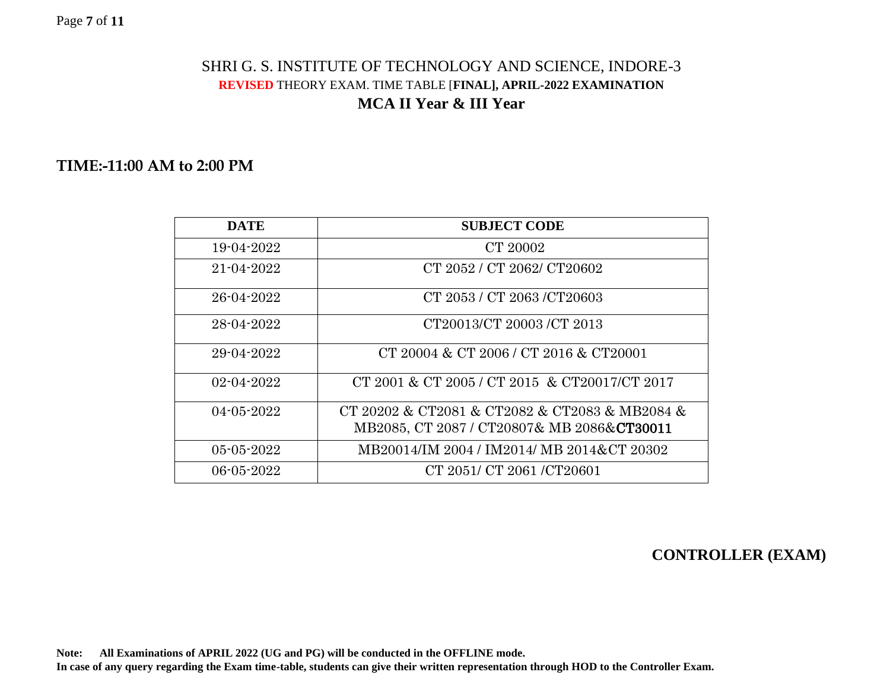#### Page **7** of **11**

# SHRI G. S. INSTITUTE OF TECHNOLOGY AND SCIENCE, INDORE-3 **REVISED** THEORY EXAM. TIME TABLE [**FINAL], APRIL-2022 EXAMINATION MCA II Year & III Year**

### **TIME:-11:00 AM to 2:00 PM**

| <b>DATE</b>      | <b>SUBJECT CODE</b>                                                                                  |
|------------------|------------------------------------------------------------------------------------------------------|
| 19-04-2022       | CT 20002                                                                                             |
| 21-04-2022       | CT 2052 / CT 2062/ CT20602                                                                           |
| 26-04-2022       | CT 2053 / CT 2063 / CT 20603                                                                         |
| 28-04-2022       | CT20013/CT 20003 /CT 2013                                                                            |
| 29-04-2022       | CT 20004 & CT 2006 / CT 2016 & CT20001                                                               |
| $02 - 04 - 2022$ | CT 2001 & CT 2005 / CT 2015 & CT 20017/CT 2017                                                       |
| $04 - 05 - 2022$ | CT 20202 & CT2081 & CT2082 & CT2083 & MB2084 &<br>MB2085, CT 2087 / CT20807& MB 2086& <b>CT30011</b> |
| $05 - 05 - 2022$ | MB20014/IM 2004 / IM2014/ MB 2014&CT 20302                                                           |
| 06-05-2022       | CT 2051/ CT 2061/CT20601                                                                             |

# **CONTROLLER (EXAM)**

**Note: All Examinations of APRIL 2022 (UG and PG) will be conducted in the OFFLINE mode.**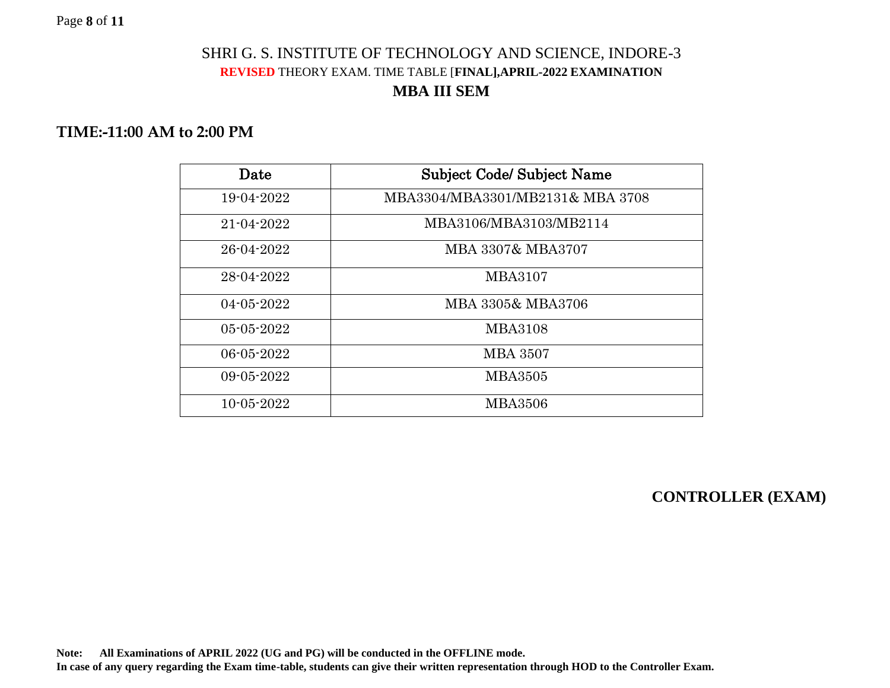# SHRI G. S. INSTITUTE OF TECHNOLOGY AND SCIENCE, INDORE-3 **REVISED** THEORY EXAM. TIME TABLE [**FINAL],APRIL-2022 EXAMINATION MBA III SEM**

# **TIME:-11:00 AM to 2:00 PM**

| Date             | <b>Subject Code/ Subject Name</b> |
|------------------|-----------------------------------|
| 19-04-2022       | MBA3304/MBA3301/MB2131& MBA 3708  |
| 21-04-2022       | MBA3106/MBA3103/MB2114            |
| 26-04-2022       | MBA 3307& MBA3707                 |
| 28-04-2022       | <b>MBA3107</b>                    |
| $04 - 05 - 2022$ | MBA 3305& MBA3706                 |
| $05 - 05 - 2022$ | <b>MBA3108</b>                    |
| 06-05-2022       | <b>MBA 3507</b>                   |
| 09-05-2022       | <b>MBA3505</b>                    |
| $10 - 05 - 2022$ | <b>MBA3506</b>                    |

**CONTROLLER (EXAM)**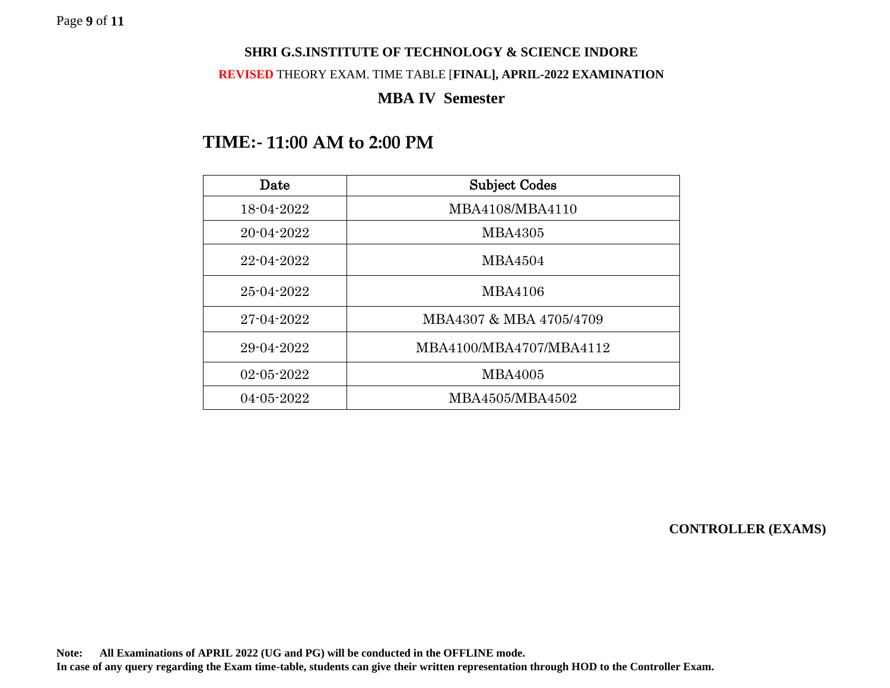#### **SHRI G.S.INSTITUTE OF TECHNOLOGY & SCIENCE INDORE**

#### **REVISED** THEORY EXAM. TIME TABLE [**FINAL], APRIL-2022 EXAMINATION**

### **MBA IV Semester**

# **TIME:- 11:00 AM to 2:00 PM**

| Date             | <b>Subject Codes</b>    |
|------------------|-------------------------|
| 18-04-2022       | MBA4108/MBA4110         |
| $20 - 04 - 2022$ | <b>MBA4305</b>          |
| 22-04-2022       | <b>MBA4504</b>          |
| 25-04-2022       | <b>MBA4106</b>          |
| 27-04-2022       | MBA4307 & MBA 4705/4709 |
| 29-04-2022       | MBA4100/MBA4707/MBA4112 |
| 02-05-2022       | <b>MBA4005</b>          |
| $04 - 05 - 2022$ | MBA4505/MBA4502         |

**CONTROLLER (EXAMS)**

**Note: All Examinations of APRIL 2022 (UG and PG) will be conducted in the OFFLINE mode. In case of any query regarding the Exam time-table, students can give their written representation through HOD to the Controller Exam.**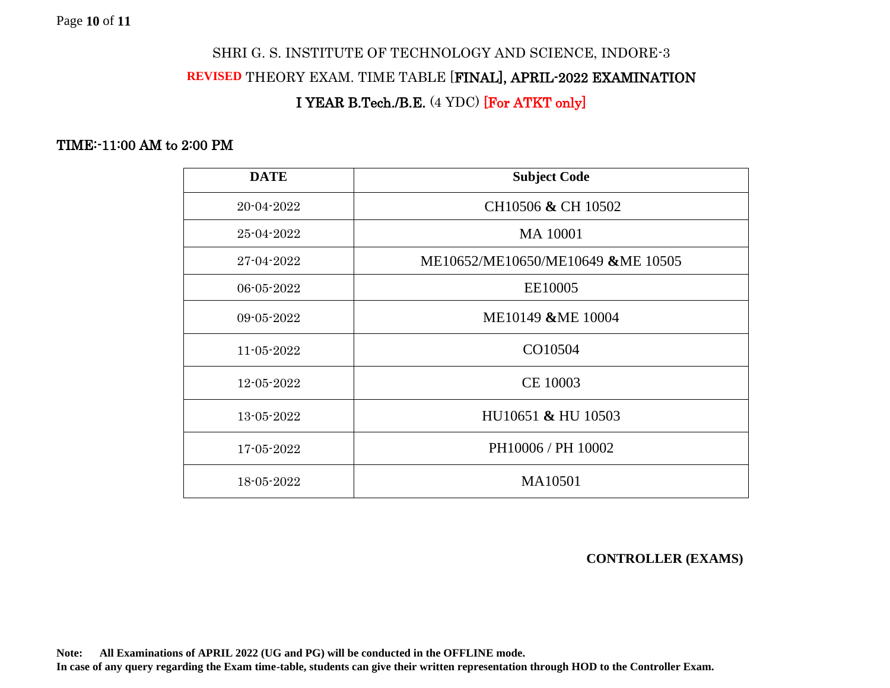### SHRI G. S. INSTITUTE OF TECHNOLOGY AND SCIENCE, INDORE-3

### **REVISED** THEORY EXAM. TIME TABLE [FINAL], APRIL-2022 EXAMINATION

## I YEAR B.Tech./B.E. (4 YDC) [For ATKT only]

### TIME:-11:00 AM to 2:00 PM

| <b>DATE</b> | <b>Subject Code</b>               |
|-------------|-----------------------------------|
| 20-04-2022  | CH10506 & CH 10502                |
| 25-04-2022  | MA 10001                          |
| 27-04-2022  | ME10652/ME10650/ME10649 &ME 10505 |
| 06-05-2022  | EE10005                           |
| 09-05-2022  | ME10149 &ME 10004                 |
| 11-05-2022  | CO10504                           |
| 12-05-2022  | CE 10003                          |
| 13-05-2022  | HU10651 & HU 10503                |
| 17-05-2022  | PH10006 / PH 10002                |
| 18-05-2022  | MA10501                           |

**CONTROLLER (EXAMS)**

**Note: All Examinations of APRIL 2022 (UG and PG) will be conducted in the OFFLINE mode.**